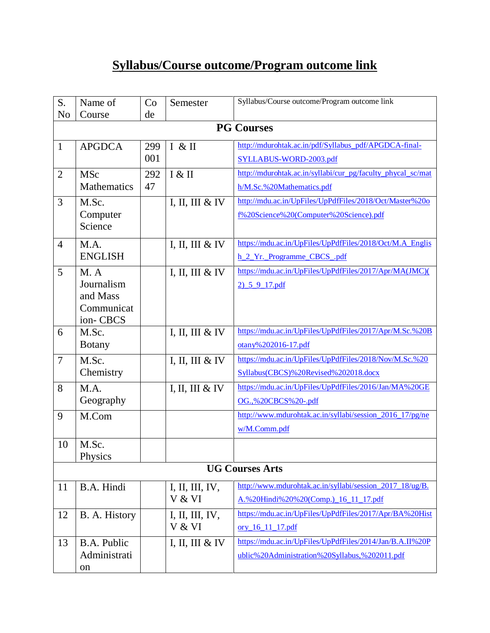## **Syllabus/Course outcome/Program outcome link**

| S.             | Name of             | Co  | Semester        | Syllabus/Course outcome/Program outcome link                |  |  |
|----------------|---------------------|-----|-----------------|-------------------------------------------------------------|--|--|
| N <sub>o</sub> | Course              | de  |                 |                                                             |  |  |
|                | <b>PG Courses</b>   |     |                 |                                                             |  |  |
| $\mathbf{1}$   | <b>APGDCA</b>       | 299 | I & H           | http://mdurohtak.ac.in/pdf/Syllabus_pdf/APGDCA-final-       |  |  |
|                |                     | 001 |                 | SYLLABUS-WORD-2003.pdf                                      |  |  |
| $\overline{2}$ | <b>MSc</b>          | 292 | I & II          | http://mdurohtak.ac.in/syllabi/cur_pg/faculty_phycal_sc/mat |  |  |
|                | Mathematics         | 47  |                 | h/M.Sc.%20Mathematics.pdf                                   |  |  |
| 3              | M.Sc.               |     | I, II, III & IV | http://mdu.ac.in/UpFiles/UpPdfFiles/2018/Oct/Master%20o     |  |  |
|                | Computer<br>Science |     |                 | f%20Science%20(Computer%20Science).pdf                      |  |  |
| $\overline{4}$ | M.A.                |     | I, II, III & IV | https://mdu.ac.in/UpFiles/UpPdfFiles/2018/Oct/M.A_Englis    |  |  |
|                | <b>ENGLISH</b>      |     |                 | h 2 Yr. Programme CBCS .pdf                                 |  |  |
| 5              | M. A                |     | I, II, III & IV | https://mdu.ac.in/UpFiles/UpPdfFiles/2017/Apr/MA(JMC)(      |  |  |
|                | Journalism          |     |                 | 2) 5 9 17 pdf                                               |  |  |
|                | and Mass            |     |                 |                                                             |  |  |
|                | Communicat          |     |                 |                                                             |  |  |
|                | ion-CBCS            |     |                 | https://mdu.ac.in/UpFiles/UpPdfFiles/2017/Apr/M.Sc.%20B     |  |  |
| 6              | M.Sc.               |     | I, II, III & IV |                                                             |  |  |
|                | <b>Botany</b>       |     |                 | otany%202016-17.pdf                                         |  |  |
| $\overline{7}$ | M.Sc.               |     | I, II, III & IV | https://mdu.ac.in/UpFiles/UpPdfFiles/2018/Nov/M.Sc.%20      |  |  |
|                | Chemistry           |     |                 | Syllabus(CBCS)%20Revised%202018.docx                        |  |  |
| 8              | M.A.                |     | I, II, III & IV | https://mdu.ac.in/UpFiles/UpPdfFiles/2016/Jan/MA%20GE       |  |  |
|                | Geography           |     |                 | OG.,%20CBCS%20-.pdf                                         |  |  |
| 9              | M.Com               |     |                 | http://www.mdurohtak.ac.in/syllabi/session 2016 17/pg/ne    |  |  |
|                |                     |     |                 | w/M.Comm.pdf                                                |  |  |
| 10             | M.Sc.               |     |                 |                                                             |  |  |
|                | Physics             |     |                 |                                                             |  |  |
|                |                     |     |                 | <b>UG Courses Arts</b>                                      |  |  |
| 11             | B.A. Hindi          |     | I, II, III, IV, | http://www.mdurohtak.ac.in/syllabi/session_2017_18/ug/B.    |  |  |
|                |                     |     | V & VI          | A.%20Hindi%20%20(Comp.) 16 11 17.pdf                        |  |  |
| 12             | B. A. History       |     | I, II, III, IV, | https://mdu.ac.in/UpFiles/UpPdfFiles/2017/Apr/BA%20Hist     |  |  |
|                |                     |     | V & VI          | ory_16_11_17.pdf                                            |  |  |
| 13             | B.A. Public         |     | I, II, III & IV | https://mdu.ac.in/UpFiles/UpPdfFiles/2014/Jan/B.A.II%20P    |  |  |
|                | Administrati        |     |                 | ublic%20Administration%20Syllabus,%202011.pdf               |  |  |
|                | on                  |     |                 |                                                             |  |  |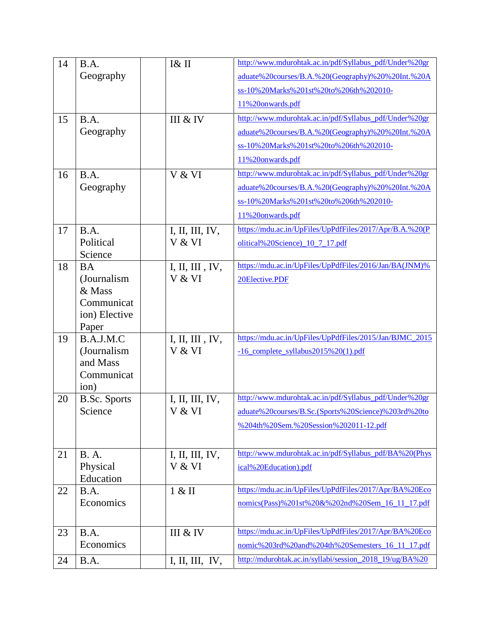| 14 | B.A.                     | I& II                     | http://www.mdurohtak.ac.in/pdf/Syllabus_pdf/Under%20gr                                                    |
|----|--------------------------|---------------------------|-----------------------------------------------------------------------------------------------------------|
|    | Geography                |                           | aduate%20courses/B.A.%20(Geography)%20%20Int.%20A                                                         |
|    |                          |                           | ss-10%20Marks%201st%20to%206th%202010-                                                                    |
|    |                          |                           | 11%20onwards.pdf                                                                                          |
| 15 | B.A.                     | III & IV                  | http://www.mdurohtak.ac.in/pdf/Syllabus_pdf/Under%20gr                                                    |
|    | Geography                |                           | aduate%20courses/B.A.%20(Geography)%20%20Int.%20A                                                         |
|    |                          |                           | ss-10%20Marks%201st%20to%206th%202010-                                                                    |
|    |                          |                           | 11%20onwards.pdf                                                                                          |
| 16 | B.A.                     | V & VI                    | http://www.mdurohtak.ac.in/pdf/Syllabus_pdf/Under%20gr                                                    |
|    | Geography                |                           | aduate%20courses/B.A.%20(Geography)%20%20Int.%20A                                                         |
|    |                          |                           | ss-10%20Marks%201st%20to%206th%202010-                                                                    |
|    |                          |                           | 11%20onwards.pdf                                                                                          |
| 17 | B.A.                     | I, II, III, IV,           | https://mdu.ac.in/UpFiles/UpPdfFiles/2017/Apr/B.A.%20(P                                                   |
|    | Political                | V & VI                    | olitical%20Science)_10_7_17.pdf                                                                           |
|    | Science                  |                           | https://mdu.ac.in/UpFiles/UpPdfFiles/2016/Jan/BA(JNM)%                                                    |
| 18 | <b>BA</b><br>(Journalism | I, II, III, IV,<br>V & VI | 20Elective.PDF                                                                                            |
|    | & Mass                   |                           |                                                                                                           |
|    | Communicat               |                           |                                                                                                           |
|    | ion) Elective            |                           |                                                                                                           |
|    | Paper                    |                           |                                                                                                           |
| 19 | B.A.J.M.C                | I, II, III, IV,           | https://mdu.ac.in/UpFiles/UpPdfFiles/2015/Jan/BJMC_2015                                                   |
|    | (Journalism<br>and Mass  | V & VI                    | -16_complete_syllabus2015%20(1).pdf                                                                       |
|    | Communicat               |                           |                                                                                                           |
|    | ion)                     |                           |                                                                                                           |
| 20 | <b>B.Sc.</b> Sports      | I, II, III, IV,           | http://www.mdurohtak.ac.in/pdf/Syllabus_pdf/Under%20gr                                                    |
|    | Science                  | V & VI                    | aduate%20courses/B.Sc.(Sports%20Science)%203rd%20to                                                       |
|    |                          |                           | %204th%20Sem.%20Session%202011-12.pdf                                                                     |
|    |                          |                           |                                                                                                           |
| 21 | <b>B.</b> A.             | I, II, III, IV,           | http://www.mdurohtak.ac.in/pdf/Syllabus_pdf/BA%20(Phys                                                    |
|    | Physical                 | V & VI                    | ical%20Education).pdf                                                                                     |
|    | Education                |                           |                                                                                                           |
| 22 | B.A.<br>Economics        | 1 & 1                     | https://mdu.ac.in/UpFiles/UpPdfFiles/2017/Apr/BA%20Eco<br>nomics(Pass)%201st%20&%202nd%20Sem_16_11_17.pdf |
|    |                          |                           |                                                                                                           |
|    |                          |                           | https://mdu.ac.in/UpFiles/UpPdfFiles/2017/Apr/BA%20Eco                                                    |
| 23 | B.A.<br>Economics        | III & IV                  |                                                                                                           |
|    |                          |                           | nomic%203rd%20and%204th%20Semesters_16_11_17.pdf                                                          |
| 24 | B.A.                     | I, II, III, IV,           | http://mdurohtak.ac.in/syllabi/session_2018_19/ug/BA%20                                                   |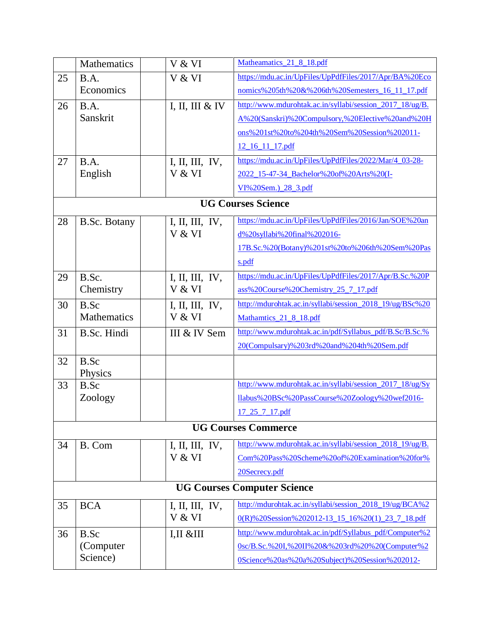|                                    | Mathematics         | V & VI          | Matheamatics 21 8 18.pdf                                 |  |  |
|------------------------------------|---------------------|-----------------|----------------------------------------------------------|--|--|
| 25                                 | B.A.                | V & VI          | https://mdu.ac.in/UpFiles/UpPdfFiles/2017/Apr/BA%20Eco   |  |  |
|                                    | Economics           |                 | nomics%205th%20&%206th%20Semesters_16_11_17.pdf          |  |  |
| 26                                 | B.A.                | I, II, III & IV | http://www.mdurohtak.ac.in/syllabi/session 2017 18/ug/B. |  |  |
|                                    | Sanskrit            |                 | A%20(Sanskri)%20Compulsory,%20Elective%20and%20H         |  |  |
|                                    |                     |                 | ons%201st%20to%204th%20Sem%20Session%202011-             |  |  |
|                                    |                     |                 | 12 16 11 17 pdf                                          |  |  |
| 27                                 | B.A.                | I, II, III, IV, | https://mdu.ac.in/UpFiles/UpPdfFiles/2022/Mar/4_03-28-   |  |  |
|                                    | English             | V & VI          | 2022 15-47-34 Bachelor%20of%20Arts%20(I-                 |  |  |
|                                    |                     |                 | VI%20Sem.) 28 3.pdf                                      |  |  |
|                                    |                     |                 | <b>UG Courses Science</b>                                |  |  |
| 28                                 | <b>B.Sc. Botany</b> | I, II, III, IV, | https://mdu.ac.in/UpFiles/UpPdfFiles/2016/Jan/SOE%20an   |  |  |
|                                    |                     | V & VI          | d%20syllabi%20final%202016-                              |  |  |
|                                    |                     |                 | 17B.Sc.%20(Botany)%201st%20to%206th%20Sem%20Pas          |  |  |
|                                    |                     |                 | s.pdf                                                    |  |  |
| 29                                 | B.Sc.               | I, II, III, IV, | https://mdu.ac.in/UpFiles/UpPdfFiles/2017/Apr/B.Sc.%20P  |  |  |
|                                    | Chemistry           | V & VI          | ass%20Course%20Chemistry 25 7 17.pdf                     |  |  |
| 30                                 | B.Sc                | I, II, III, IV, | http://mdurohtak.ac.in/syllabi/session_2018_19/ug/BSc%20 |  |  |
|                                    | Mathematics         | V & VI          | Mathamtics 21 8 18.pdf                                   |  |  |
| 31                                 | B.Sc. Hindi         | III & IV Sem    | http://www.mdurohtak.ac.in/pdf/Syllabus_pdf/B.Sc/B.Sc.%  |  |  |
|                                    |                     |                 | 20(Compulsary)%203rd%20and%204th%20Sem.pdf               |  |  |
| 32                                 | B.Sc                |                 |                                                          |  |  |
|                                    | Physics             |                 |                                                          |  |  |
| 33                                 | B.Sc                |                 | http://www.mdurohtak.ac.in/syllabi/session 2017 18/ug/Sy |  |  |
|                                    | Zoology             |                 | llabus%20BSc%20PassCourse%20Zoology%20wef2016-           |  |  |
|                                    |                     |                 | $17\_25\_7\_17.pdf$                                      |  |  |
|                                    |                     |                 | <b>UG Courses Commerce</b>                               |  |  |
| 34                                 | B. Com              | I, II, III, IV, | http://www.mdurohtak.ac.in/syllabi/session_2018_19/ug/B. |  |  |
|                                    |                     | V & VI          | Com%20Pass%20Scheme%20of%20Examination%20for%            |  |  |
|                                    |                     |                 | 20Secrecy.pdf                                            |  |  |
| <b>UG Courses Computer Science</b> |                     |                 |                                                          |  |  |
| 35                                 | <b>BCA</b>          | I, II, III, IV, | http://mdurohtak.ac.in/syllabi/session 2018 19/ug/BCA%2  |  |  |
|                                    |                     | V & VI          | 0(R)%20Session%202012-13 15 16%20(1) 23 7 18.pdf         |  |  |
| 36                                 | B.Sc                | I,II & H        | http://www.mdurohtak.ac.in/pdf/Syllabus_pdf/Computer%2   |  |  |
|                                    | (Computer)          |                 | 0sc/B.Sc.%20I,%20II%20&%203rd%20%20(Computer%2           |  |  |
|                                    | Science)            |                 | 0Science%20as%20a%20Subject)%20Session%202012-           |  |  |